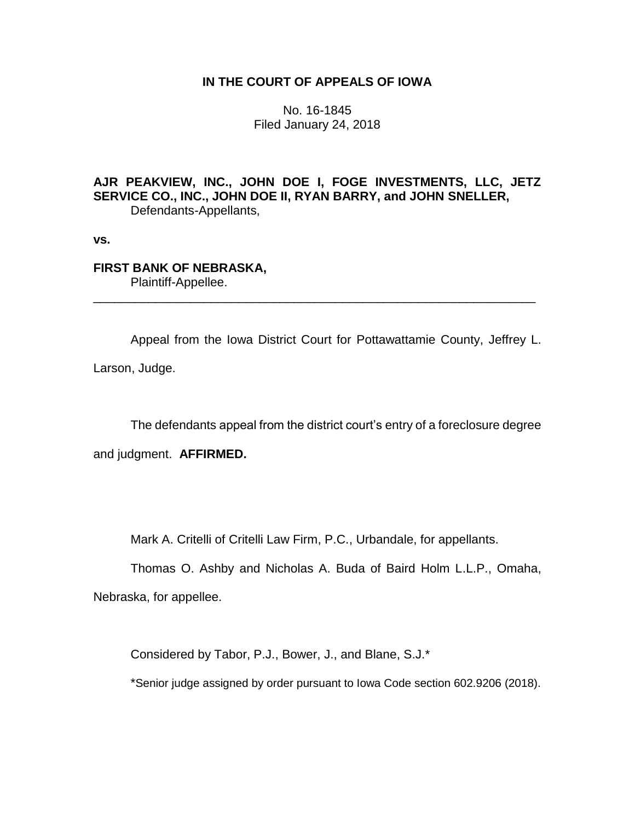## **IN THE COURT OF APPEALS OF IOWA**

No. 16-1845 Filed January 24, 2018

**AJR PEAKVIEW, INC., JOHN DOE I, FOGE INVESTMENTS, LLC, JETZ SERVICE CO., INC., JOHN DOE II, RYAN BARRY, and JOHN SNELLER,** Defendants-Appellants,

**vs.**

# **FIRST BANK OF NEBRASKA,** Plaintiff-Appellee.

Appeal from the Iowa District Court for Pottawattamie County, Jeffrey L. Larson, Judge.

\_\_\_\_\_\_\_\_\_\_\_\_\_\_\_\_\_\_\_\_\_\_\_\_\_\_\_\_\_\_\_\_\_\_\_\_\_\_\_\_\_\_\_\_\_\_\_\_\_\_\_\_\_\_\_\_\_\_\_\_\_\_\_\_

The defendants appeal from the district court's entry of a foreclosure degree

and judgment. **AFFIRMED.**

Mark A. Critelli of Critelli Law Firm, P.C., Urbandale, for appellants.

Thomas O. Ashby and Nicholas A. Buda of Baird Holm L.L.P., Omaha,

Nebraska, for appellee.

Considered by Tabor, P.J., Bower, J., and Blane, S.J.\*

\*Senior judge assigned by order pursuant to Iowa Code section 602.9206 (2018).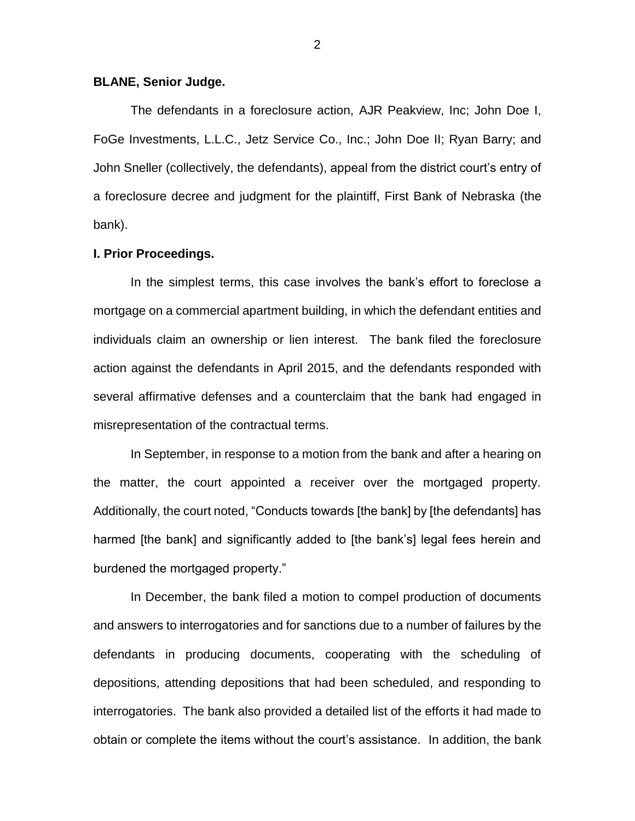#### **BLANE, Senior Judge.**

The defendants in a foreclosure action, AJR Peakview, Inc; John Doe I, FoGe Investments, L.L.C., Jetz Service Co., Inc.; John Doe II; Ryan Barry; and John Sneller (collectively, the defendants), appeal from the district court's entry of a foreclosure decree and judgment for the plaintiff, First Bank of Nebraska (the bank).

#### **I. Prior Proceedings.**

In the simplest terms, this case involves the bank's effort to foreclose a mortgage on a commercial apartment building, in which the defendant entities and individuals claim an ownership or lien interest. The bank filed the foreclosure action against the defendants in April 2015, and the defendants responded with several affirmative defenses and a counterclaim that the bank had engaged in misrepresentation of the contractual terms.

In September, in response to a motion from the bank and after a hearing on the matter, the court appointed a receiver over the mortgaged property. Additionally, the court noted, "Conducts towards [the bank] by [the defendants] has harmed [the bank] and significantly added to [the bank's] legal fees herein and burdened the mortgaged property."

In December, the bank filed a motion to compel production of documents and answers to interrogatories and for sanctions due to a number of failures by the defendants in producing documents, cooperating with the scheduling of depositions, attending depositions that had been scheduled, and responding to interrogatories. The bank also provided a detailed list of the efforts it had made to obtain or complete the items without the court's assistance. In addition, the bank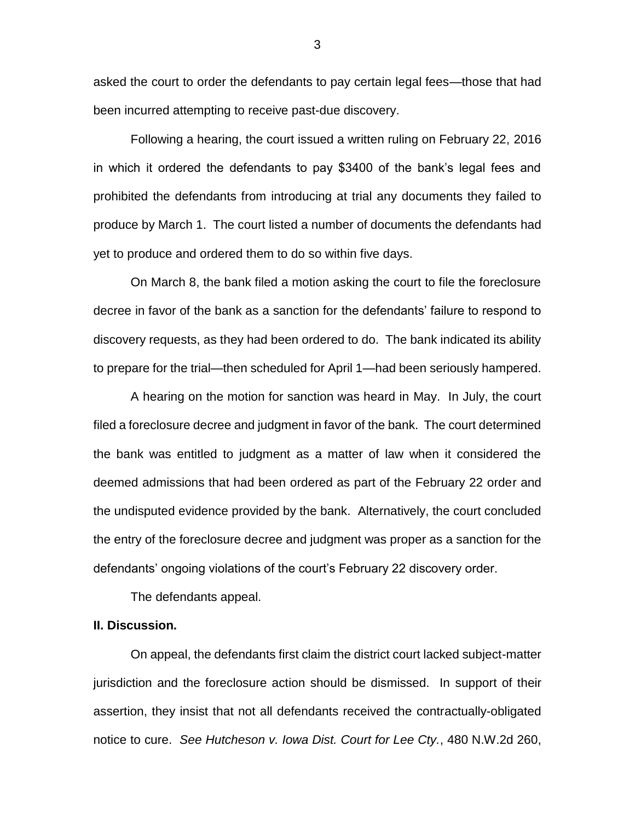asked the court to order the defendants to pay certain legal fees—those that had been incurred attempting to receive past-due discovery.

Following a hearing, the court issued a written ruling on February 22, 2016 in which it ordered the defendants to pay \$3400 of the bank's legal fees and prohibited the defendants from introducing at trial any documents they failed to produce by March 1. The court listed a number of documents the defendants had yet to produce and ordered them to do so within five days.

On March 8, the bank filed a motion asking the court to file the foreclosure decree in favor of the bank as a sanction for the defendants' failure to respond to discovery requests, as they had been ordered to do. The bank indicated its ability to prepare for the trial—then scheduled for April 1—had been seriously hampered.

A hearing on the motion for sanction was heard in May. In July, the court filed a foreclosure decree and judgment in favor of the bank. The court determined the bank was entitled to judgment as a matter of law when it considered the deemed admissions that had been ordered as part of the February 22 order and the undisputed evidence provided by the bank. Alternatively, the court concluded the entry of the foreclosure decree and judgment was proper as a sanction for the defendants' ongoing violations of the court's February 22 discovery order.

The defendants appeal.

### **II. Discussion.**

On appeal, the defendants first claim the district court lacked subject-matter jurisdiction and the foreclosure action should be dismissed. In support of their assertion, they insist that not all defendants received the contractually-obligated notice to cure. *See Hutcheson v. Iowa Dist. Court for Lee Cty.*, 480 N.W.2d 260,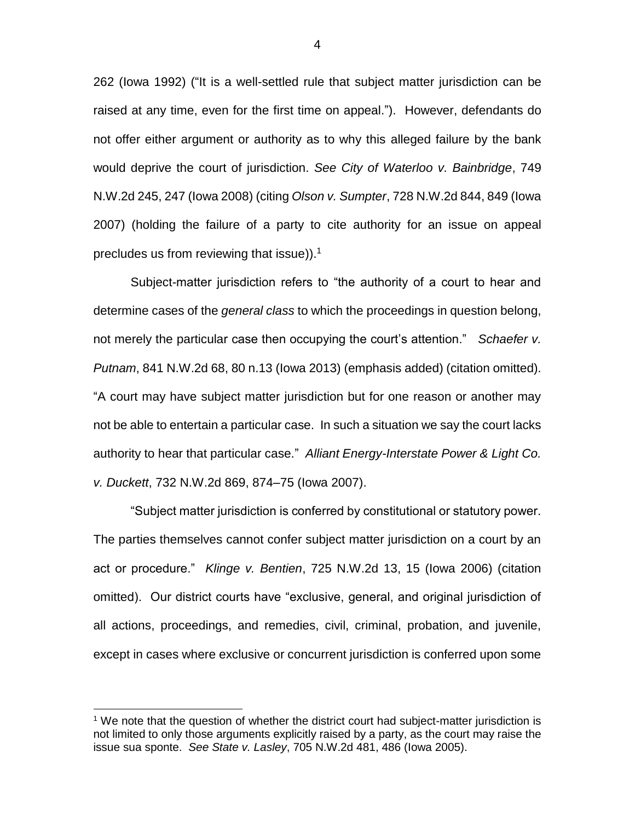262 (Iowa 1992) ("It is a well-settled rule that subject matter jurisdiction can be raised at any time, even for the first time on appeal."). However, defendants do not offer either argument or authority as to why this alleged failure by the bank would deprive the court of jurisdiction. *See City of Waterloo v. Bainbridge*, 749 N.W.2d 245, 247 (Iowa 2008) (citing *Olson v. Sumpter*, 728 N.W.2d 844, 849 (Iowa 2007) (holding the failure of a party to cite authority for an issue on appeal precludes us from reviewing that issue)). 1

Subject-matter jurisdiction refers to "the authority of a court to hear and determine cases of the *general class* to which the proceedings in question belong, not merely the particular case then occupying the court's attention." *Schaefer v. Putnam*, 841 N.W.2d 68, 80 n.13 (Iowa 2013) (emphasis added) (citation omitted). "A court may have subject matter jurisdiction but for one reason or another may not be able to entertain a particular case. In such a situation we say the court lacks authority to hear that particular case." *Alliant Energy-Interstate Power & Light Co. v. Duckett*, 732 N.W.2d 869, 874–75 (Iowa 2007).

"Subject matter jurisdiction is conferred by constitutional or statutory power. The parties themselves cannot confer subject matter jurisdiction on a court by an act or procedure." *Klinge v. Bentien*, 725 N.W.2d 13, 15 (Iowa 2006) (citation omitted). Our district courts have "exclusive, general, and original jurisdiction of all actions, proceedings, and remedies, civil, criminal, probation, and juvenile, except in cases where exclusive or concurrent jurisdiction is conferred upon some

 $\overline{a}$ 

 $<sup>1</sup>$  We note that the question of whether the district court had subject-matter jurisdiction is</sup> not limited to only those arguments explicitly raised by a party, as the court may raise the issue sua sponte. *See State v. Lasley*, 705 N.W.2d 481, 486 (Iowa 2005).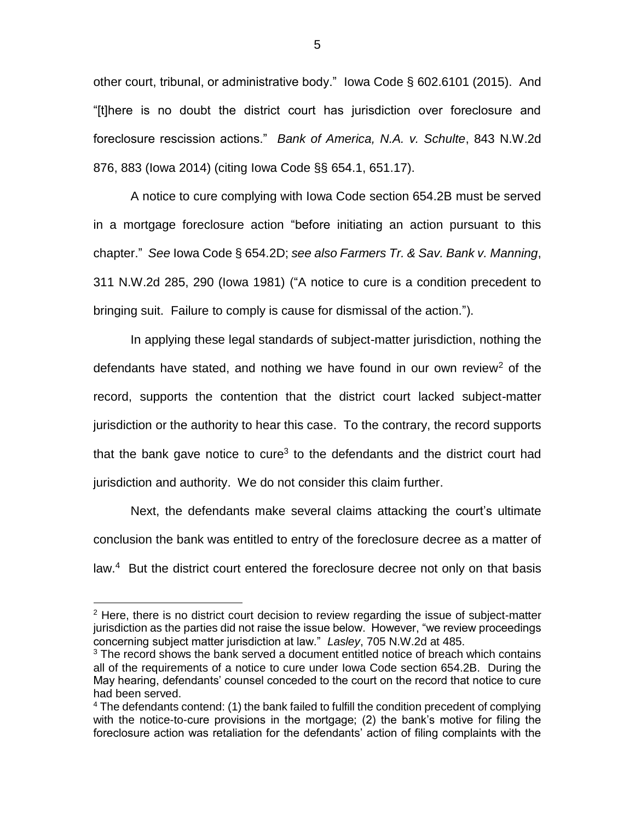other court, tribunal, or administrative body." Iowa Code § 602.6101 (2015). And "[t]here is no doubt the district court has jurisdiction over foreclosure and foreclosure rescission actions." *Bank of America, N.A. v. Schulte*, 843 N.W.2d 876, 883 (Iowa 2014) (citing Iowa Code §§ 654.1, 651.17).

A notice to cure complying with Iowa Code section 654.2B must be served in a mortgage foreclosure action "before initiating an action pursuant to this chapter." *See* Iowa Code § 654.2D; *see also Farmers Tr. & Sav. Bank v. Manning*, 311 N.W.2d 285, 290 (Iowa 1981) ("A notice to cure is a condition precedent to bringing suit. Failure to comply is cause for dismissal of the action.").

In applying these legal standards of subject-matter jurisdiction, nothing the defendants have stated, and nothing we have found in our own review<sup>2</sup> of the record, supports the contention that the district court lacked subject-matter jurisdiction or the authority to hear this case. To the contrary, the record supports that the bank gave notice to cure<sup>3</sup> to the defendants and the district court had jurisdiction and authority. We do not consider this claim further.

Next, the defendants make several claims attacking the court's ultimate conclusion the bank was entitled to entry of the foreclosure decree as a matter of law.<sup>4</sup> But the district court entered the foreclosure decree not only on that basis

 $\overline{a}$ 

 $2$  Here, there is no district court decision to review regarding the issue of subject-matter jurisdiction as the parties did not raise the issue below. However, "we review proceedings concerning subject matter jurisdiction at law." *Lasley*, 705 N.W.2d at 485.

 $3$  The record shows the bank served a document entitled notice of breach which contains all of the requirements of a notice to cure under Iowa Code section 654.2B. During the May hearing, defendants' counsel conceded to the court on the record that notice to cure had been served.

 $4$  The defendants contend: (1) the bank failed to fulfill the condition precedent of complying with the notice-to-cure provisions in the mortgage; (2) the bank's motive for filing the foreclosure action was retaliation for the defendants' action of filing complaints with the